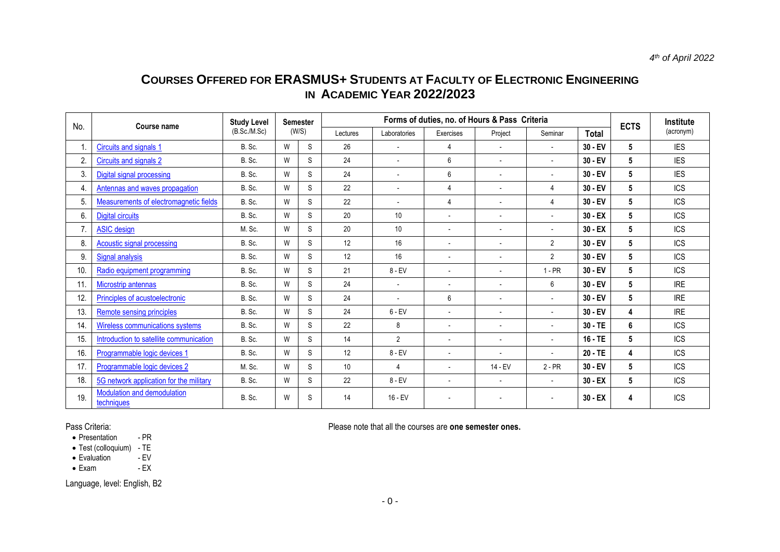# **COURSES OFFERED FOR ERASMUS+ STUDENTS AT FACULTY OF ELECTRONIC ENGINEERING IN ACADEMIC YEAR 2022/2023**

| No. | <b>Course name</b>                            | <b>Study Level</b> | Semester |       | Forms of duties, no. of Hours & Pass Criteria |                          |                          |                          |                          |              | <b>ECTS</b> | Institute  |
|-----|-----------------------------------------------|--------------------|----------|-------|-----------------------------------------------|--------------------------|--------------------------|--------------------------|--------------------------|--------------|-------------|------------|
|     |                                               | (B.Sc./M.Sc)       |          | (W/S) | Lectures                                      | Laboratories             | Exercises                | Project                  | Seminar                  | <b>Total</b> |             | (acronym)  |
|     | Circuits and signals 1                        | B. Sc.             | W        | S     | 26                                            |                          | 4                        | $\overline{\phantom{a}}$ | $\overline{\phantom{a}}$ | $30 - EV$    | 5           | <b>IES</b> |
| 2.  | Circuits and signals 2                        | B. Sc.             | W        | S     | 24                                            | $\overline{\phantom{a}}$ | 6                        | $\blacksquare$           | $\overline{\phantom{a}}$ | $30 - EV$    | 5           | <b>IES</b> |
| 3.  | Digital signal processing                     | B. Sc.             | W        | S.    | 24                                            | $\blacksquare$           | 6                        | $\blacksquare$           | $\overline{\phantom{a}}$ | $30 - EV$    | 5           | <b>IES</b> |
| 4.  | Antennas and waves propagation                | B. Sc.             | W        | S     | 22                                            |                          | 4                        | $\blacksquare$           | 4                        | $30 - EV$    | 5           | <b>ICS</b> |
| 5.  | <b>Measurements of electromagnetic fields</b> | B. Sc.             | W        | S     | 22                                            |                          | $\overline{4}$           | $\blacksquare$           | 4                        | $30 - EV$    | 5           | <b>ICS</b> |
| 6.  | <b>Digital circuits</b>                       | B. Sc.             | W        | S     | 20                                            | 10                       |                          | $\blacksquare$           | $\overline{\phantom{a}}$ | $30 - EX$    | 5           | <b>ICS</b> |
| 7.  | <b>ASIC</b> design                            | M. Sc.             | W        | S.    | 20                                            | 10                       | $\overline{\phantom{a}}$ | $\overline{a}$           | $\overline{\phantom{a}}$ | $30 - EX$    | 5           | <b>ICS</b> |
| 8.  | <b>Acoustic signal processing</b>             | B. Sc.             | W        | S     | 12                                            | 16                       | $\overline{\phantom{a}}$ | $\blacksquare$           | $\overline{2}$           | $30 - EV$    | 5           | <b>ICS</b> |
| 9.  | <b>Signal analysis</b>                        | B. Sc.             | W        | S     | 12                                            | 16                       | $\overline{\phantom{a}}$ | $\blacksquare$           | $\overline{2}$           | $30 - EV$    | 5           | <b>ICS</b> |
| 10. | Radio equipment programming                   | B. Sc.             | W        | S     | 21                                            | $8 - EV$                 | $\overline{\phantom{a}}$ | $\blacksquare$           | $1 - PR$                 | $30 - EV$    | 5           | <b>ICS</b> |
| 11. | <b>Microstrip antennas</b>                    | B. Sc.             | W        | S.    | 24                                            | $\overline{\phantom{a}}$ | $\overline{\phantom{a}}$ | $\overline{a}$           | 6                        | $30 - EV$    | 5           | <b>IRE</b> |
| 12. | Principles of acustoelectronic                | B. Sc.             | W        | S     | 24                                            |                          | 6                        | $\blacksquare$           | $\overline{\phantom{a}}$ | $30 - EV$    | 5           | <b>IRE</b> |
| 13. | <b>Remote sensing principles</b>              | B. Sc.             | W        | S     | 24                                            | $6 - EV$                 | $\overline{\phantom{a}}$ | $\overline{\phantom{a}}$ | $\overline{\phantom{a}}$ | $30 - EV$    | 4           | <b>IRE</b> |
| 14. | Wireless communications systems               | B. Sc.             | W        | S     | 22                                            | 8                        |                          | $\blacksquare$           | $\overline{\phantom{a}}$ | $30 - TE$    | 6           | <b>ICS</b> |
| 15. | Introduction to satellite communication       | B. Sc.             | W        | S     | 14                                            | $\overline{2}$           | $\overline{\phantom{a}}$ | $\overline{a}$           | $\overline{\phantom{a}}$ | $16 - TE$    | 5           | <b>ICS</b> |
| 16. | Programmable logic devices 1                  | B. Sc.             | W        | S     | 12                                            | $8 - EV$                 | $\overline{\phantom{a}}$ | $\overline{\phantom{a}}$ |                          | $20 - TE$    | 4           | <b>ICS</b> |
| 17. | Programmable logic devices 2                  | M. Sc.             | W        | S     | 10                                            | $\overline{4}$           | $\overline{\phantom{a}}$ | 14 - EV                  | $2 - PR$                 | $30 - EV$    | 5           | <b>ICS</b> |
| 18. | 5G network application for the military       | B. Sc.             | W        | S     | 22                                            | $8 - EV$                 | $\overline{\phantom{a}}$ | $\overline{\phantom{a}}$ | $\blacksquare$           | $30 - EX$    | 5           | <b>ICS</b> |
| 19. | Modulation and demodulation<br>techniques     | B. Sc.             | W        | S     | 14                                            | $16 - EV$                |                          |                          |                          | $30 - EX$    | 4           | <b>ICS</b> |

• Presentation

• Test (colloquium) - TE<br>• Evaluation - EV

• Evaluation - EV<br>• Exam - EX

 $\bullet$  Exam

Language, level: English, B2

<span id="page-0-0"></span>Pass Criteria:<br> **Please note that all the courses are one semester ones.**<br> **Please note that all the courses are one semester ones.**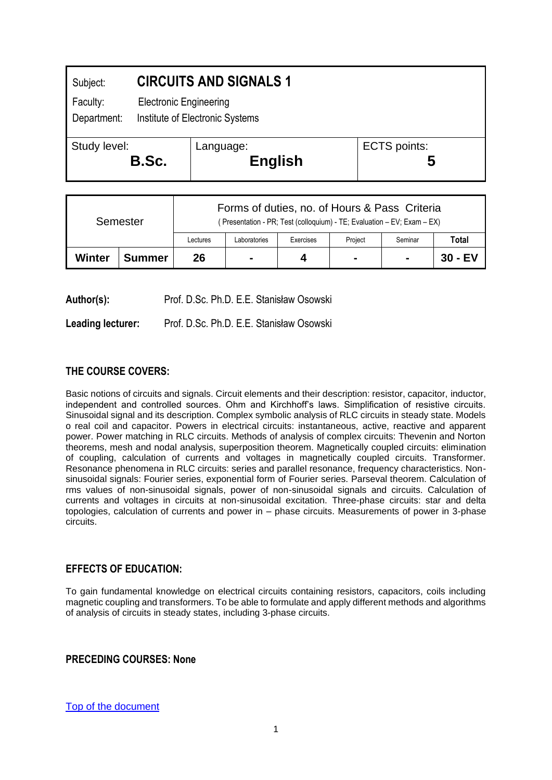<span id="page-1-0"></span>

| Subject:                | <b>CIRCUITS AND SIGNALS 1</b> |                                                                  |                          |  |  |  |  |
|-------------------------|-------------------------------|------------------------------------------------------------------|--------------------------|--|--|--|--|
| Faculty:<br>Department: |                               | <b>Electronic Engineering</b><br>Institute of Electronic Systems |                          |  |  |  |  |
| Study level:<br>B.Sc.   |                               | Language:<br><b>English</b>                                      | <b>ECTS</b> points:<br>ხ |  |  |  |  |

| Semester |        | Forms of duties, no. of Hours & Pass Criteria<br>(Presentation - PR; Test (colloquium) - TE; Evaluation - EV; Exam - EX) |                |           |                |                |           |  |
|----------|--------|--------------------------------------------------------------------------------------------------------------------------|----------------|-----------|----------------|----------------|-----------|--|
|          |        | Lectures                                                                                                                 | Laboratories   | Exercises | Project        | Seminar        | Total     |  |
| Winter   | Summer | 26                                                                                                                       | $\blacksquare$ | 4         | $\blacksquare$ | $\blacksquare$ | $30 - EV$ |  |

Author(s): Prof. D.Sc. Ph.D. E.E. Stanisław Osowski

**Leading lecturer:** Prof. D.Sc. Ph.D. E.E. Stanisław Osowski

## **THE COURSE COVERS:**

Basic notions of circuits and signals. Circuit elements and their description: resistor, capacitor, inductor, independent and controlled sources. Ohm and Kirchhoff's laws. Simplification of resistive circuits. Sinusoidal signal and its description. Complex symbolic analysis of RLC circuits in steady state. Models o real coil and capacitor. Powers in electrical circuits: instantaneous, active, reactive and apparent power. Power matching in RLC circuits. Methods of analysis of complex circuits: Thevenin and Norton theorems, mesh and nodal analysis, superposition theorem. Magnetically coupled circuits: elimination of coupling, calculation of currents and voltages in magnetically coupled circuits. Transformer. Resonance phenomena in RLC circuits: series and parallel resonance, frequency characteristics. Nonsinusoidal signals: Fourier series, exponential form of Fourier series. Parseval theorem. Calculation of rms values of non-sinusoidal signals, power of non-sinusoidal signals and circuits. Calculation of currents and voltages in circuits at non-sinusoidal excitation. Three-phase circuits: star and delta topologies, calculation of currents and power in – phase circuits. Measurements of power in 3-phase circuits.

#### **EFFECTS OF EDUCATION:**

To gain fundamental knowledge on electrical circuits containing resistors, capacitors, coils including magnetic coupling and transformers. To be able to formulate and apply different methods and algorithms of analysis of circuits in steady states, including 3-phase circuits.

#### **PRECEDING COURSES: None**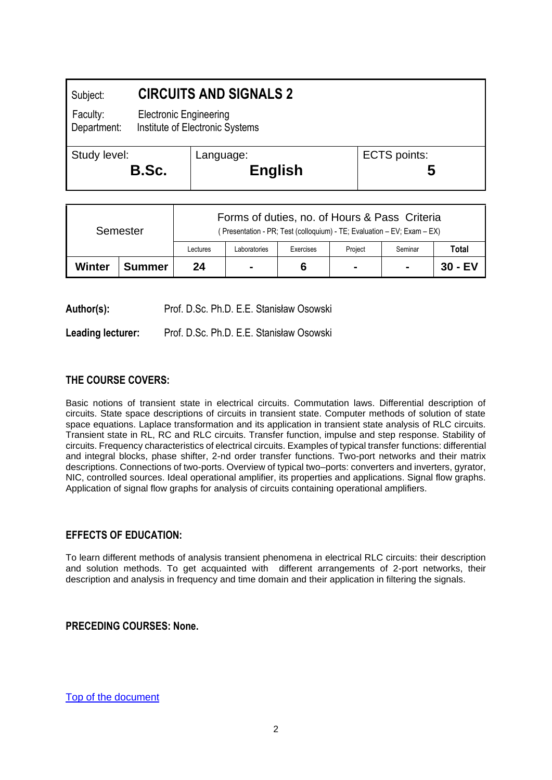<span id="page-2-0"></span>

| Subject:                |  | <b>CIRCUITS AND SIGNALS 2</b>                                    |                     |  |  |  |  |  |
|-------------------------|--|------------------------------------------------------------------|---------------------|--|--|--|--|--|
| Faculty:<br>Department: |  | <b>Electronic Engineering</b><br>Institute of Electronic Systems |                     |  |  |  |  |  |
| Study level:<br>B.Sc.   |  | Language:<br><b>English</b>                                      | <b>ECTS</b> points: |  |  |  |  |  |
|                         |  |                                                                  |                     |  |  |  |  |  |

| Semester |               | Forms of duties, no. of Hours & Pass Criteria<br>(Presentation - PR; Test (colloquium) - TE; Evaluation – EV; Exam – EX) |                |           |                |                |           |  |
|----------|---------------|--------------------------------------------------------------------------------------------------------------------------|----------------|-----------|----------------|----------------|-----------|--|
|          |               | Lectures                                                                                                                 | Laboratories   | Exercises | Project        | Seminar        | Total     |  |
| Winter   | <b>Summer</b> | 24                                                                                                                       | $\blacksquare$ | 6         | $\blacksquare$ | $\blacksquare$ | $30 - EV$ |  |

Author(s): Prof. D.Sc. Ph.D. E.E. Stanisław Osowski

**Leading lecturer:** Prof. D.Sc. Ph.D. E.E. Stanisław Osowski

#### **THE COURSE COVERS:**

Basic notions of transient state in electrical circuits. Commutation laws. Differential description of circuits. State space descriptions of circuits in transient state. Computer methods of solution of state space equations. Laplace transformation and its application in transient state analysis of RLC circuits. Transient state in RL, RC and RLC circuits. Transfer function, impulse and step response. Stability of circuits. Frequency characteristics of electrical circuits. Examples of typical transfer functions: differential and integral blocks, phase shifter, 2-nd order transfer functions. Two-port networks and their matrix descriptions. Connections of two-ports. Overview of typical two–ports: converters and inverters, gyrator, NIC, controlled sources. Ideal operational amplifier, its properties and applications. Signal flow graphs. Application of signal flow graphs for analysis of circuits containing operational amplifiers.

## **EFFECTS OF EDUCATION:**

To learn different methods of analysis transient phenomena in electrical RLC circuits: their description and solution methods. To get acquainted with different arrangements of 2-port networks, their description and analysis in frequency and time domain and their application in filtering the signals.

**PRECEDING COURSES: None.**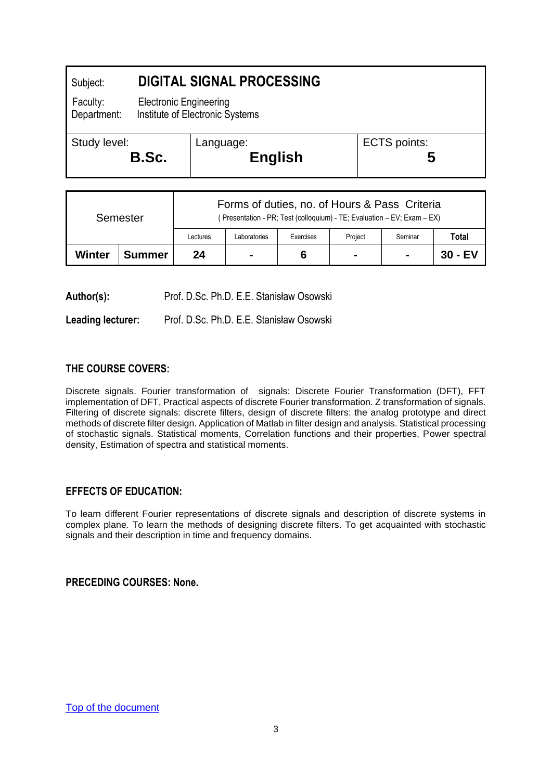<span id="page-3-0"></span>

| Subject:                | <b>DIGITAL SIGNAL PROCESSING</b> |                                 |                     |  |  |  |  |
|-------------------------|----------------------------------|---------------------------------|---------------------|--|--|--|--|
| Faculty:<br>Department: | <b>Electronic Engineering</b>    | Institute of Electronic Systems |                     |  |  |  |  |
| Study level:            |                                  | Language:                       | <b>ECTS</b> points: |  |  |  |  |
|                         | B.Sc.                            | <b>English</b>                  | C                   |  |  |  |  |

| Semester |               | Forms of duties, no. of Hours & Pass Criteria<br>(Presentation - PR; Test (colloquium) - TE; Evaluation - EV; Exam - EX) |              |           |                |                |         |  |
|----------|---------------|--------------------------------------------------------------------------------------------------------------------------|--------------|-----------|----------------|----------------|---------|--|
|          |               | Lectures                                                                                                                 | Laboratories | Exercises | Project        | Seminar        | Total   |  |
| Winter   | <b>Summer</b> | 24                                                                                                                       | -            | 6         | $\blacksquare$ | $\blacksquare$ | 30 - EV |  |

**Author(s):** Prof. D.Sc. Ph.D. E.E. Stanisław Osowski

**Leading lecturer:** Prof. D.Sc. Ph.D. E.E. Stanisław Osowski

## **THE COURSE COVERS:**

Discrete signals. Fourier transformation of signals: Discrete Fourier Transformation (DFT), FFT implementation of DFT, Practical aspects of discrete Fourier transformation. Z transformation of signals. Filtering of discrete signals: discrete filters, design of discrete filters: the analog prototype and direct methods of discrete filter design. Application of Matlab in filter design and analysis. Statistical processing of stochastic signals. Statistical moments, Correlation functions and their properties, Power spectral density, Estimation of spectra and statistical moments.

#### **EFFECTS OF EDUCATION:**

To learn different Fourier representations of discrete signals and description of discrete systems in complex plane. To learn the methods of designing discrete filters. To get acquainted with stochastic signals and their description in time and frequency domains.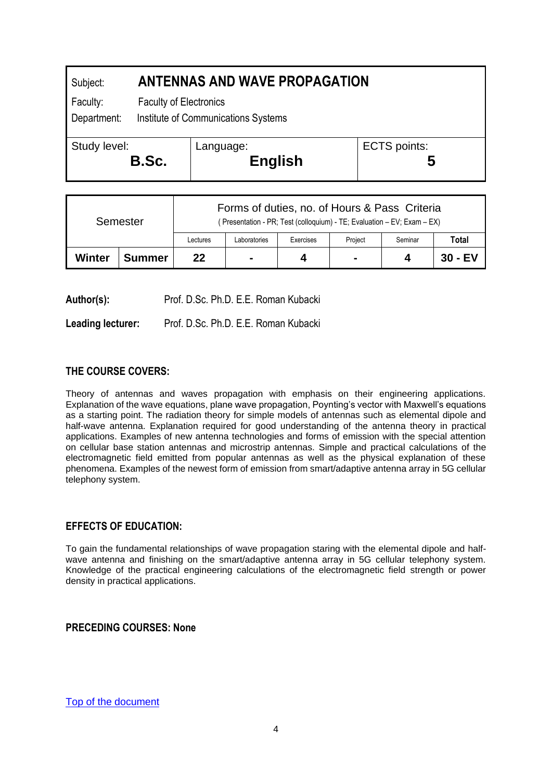<span id="page-4-0"></span>

| Subject:                | <b>ANTENNAS AND WAVE PROPAGATION</b> |                                     |  |                     |  |  |  |
|-------------------------|--------------------------------------|-------------------------------------|--|---------------------|--|--|--|
| Faculty:<br>Department: | <b>Faculty of Electronics</b>        | Institute of Communications Systems |  |                     |  |  |  |
| Study level:            | B.Sc.                                | Language:<br><b>English</b>         |  | <b>ECTS</b> points: |  |  |  |

| Semester |               | Forms of duties, no. of Hours & Pass Criteria<br>(Presentation - PR; Test (colloquium) - TE; Evaluation – EV; Exam – EX) |              |           |                |         |           |  |  |
|----------|---------------|--------------------------------------------------------------------------------------------------------------------------|--------------|-----------|----------------|---------|-----------|--|--|
|          |               | Lectures                                                                                                                 | Laboratories | Exercises | Project        | Seminar | Total     |  |  |
| Winter   | <b>Summer</b> | 22                                                                                                                       |              | 4         | $\blacksquare$ | Δ       | $30 - EV$ |  |  |

**Author(s):** Prof. D.Sc. Ph.D. E.E. Roman Kubacki

**Leading lecturer:** Prof. D.Sc. Ph.D. E.E. Roman Kubacki

## **THE COURSE COVERS:**

Theory of antennas and waves propagation with emphasis on their engineering applications. Explanation of the wave equations, plane wave propagation, Poynting's vector with Maxwell's equations as a starting point. The radiation theory for simple models of antennas such as elemental dipole and half-wave antenna. Explanation required for good understanding of the antenna theory in practical applications. Examples of new antenna technologies and forms of emission with the special attention on cellular base station antennas and microstrip antennas. Simple and practical calculations of the electromagnetic field emitted from popular antennas as well as the physical explanation of these phenomena. Examples of the newest form of emission from smart/adaptive antenna array in 5G cellular telephony system.

#### **EFFECTS OF EDUCATION:**

To gain the fundamental relationships of wave propagation staring with the elemental dipole and halfwave antenna and finishing on the smart/adaptive antenna array in 5G cellular telephony system. Knowledge of the practical engineering calculations of the electromagnetic field strength or power density in practical applications.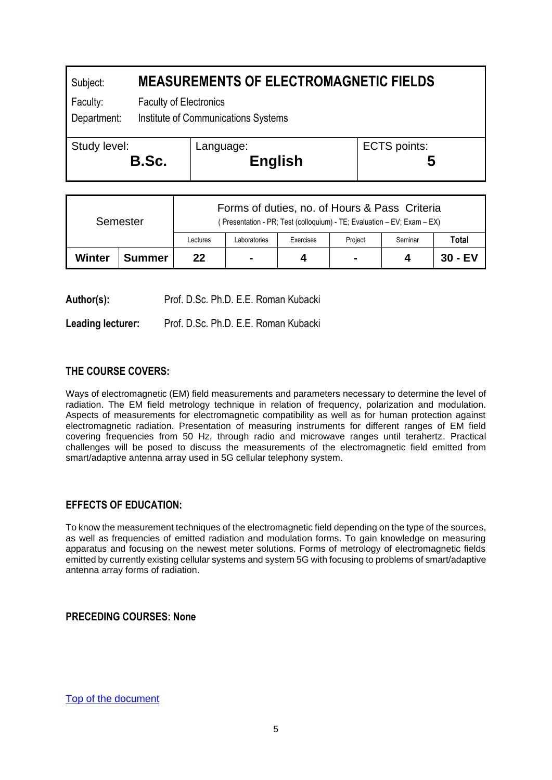# <span id="page-5-0"></span>Subject: **MEASUREMENTS OF ELECTROMAGNETIC FIELDS** Faculty: Faculty of Electronics Department: Institute of Communications Systems Study level: **B.Sc.** Language: **English** ECTS points: **5**

| Semester |        | Forms of duties, no. of Hours & Pass Criteria<br>(Presentation - PR; Test (colloquium) - TE; Evaluation - EV; Exam - EX) |             |           |                |         |         |  |
|----------|--------|--------------------------------------------------------------------------------------------------------------------------|-------------|-----------|----------------|---------|---------|--|
|          |        | Lectures                                                                                                                 | aboratories | Exercises | Project        | Seminar | Total   |  |
| Winter   | Summer | 22                                                                                                                       | -           | 4         | $\blacksquare$ |         | 30 - EV |  |

**Author(s):** Prof. D.Sc. Ph.D. E.E. Roman Kubacki

**Leading lecturer:** Prof. D.Sc. Ph.D. E.E. Roman Kubacki

# **THE COURSE COVERS:**

Ways of electromagnetic (EM) field measurements and parameters necessary to determine the level of radiation. The EM field metrology technique in relation of frequency, polarization and modulation. Aspects of measurements for electromagnetic compatibility as well as for human protection against electromagnetic radiation. Presentation of measuring instruments for different ranges of EM field covering frequencies from 50 Hz, through radio and microwave ranges until terahertz. Practical challenges will be posed to discuss the measurements of the electromagnetic field emitted from smart/adaptive antenna array used in 5G cellular telephony system.

## **EFFECTS OF EDUCATION:**

To know the measurement techniques of the electromagnetic field depending on the type of the sources, as well as frequencies of emitted radiation and modulation forms. To gain knowledge on measuring apparatus and focusing on the newest meter solutions. Forms of metrology of electromagnetic fields emitted by currently existing cellular systems and system 5G with focusing to problems of smart/adaptive antenna array forms of radiation.

**PRECEDING COURSES: None**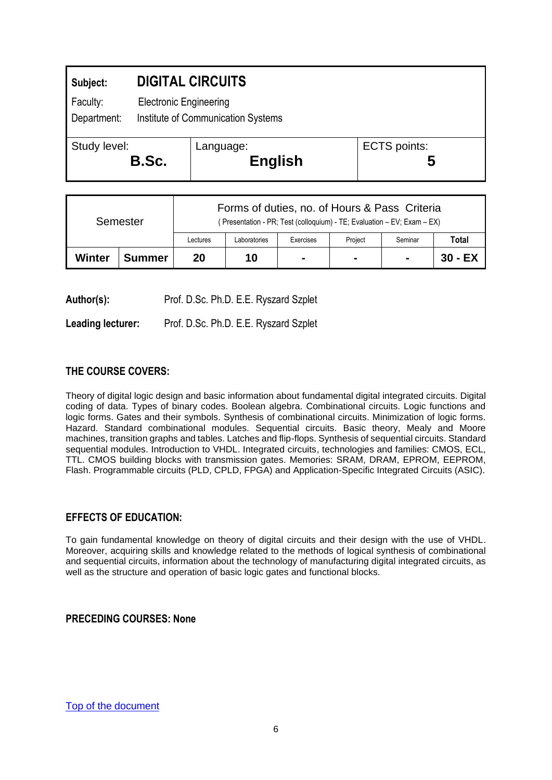<span id="page-6-0"></span>

| Subject:                |       | <b>DIGITAL CIRCUITS</b>                                             |                          |  |  |  |  |
|-------------------------|-------|---------------------------------------------------------------------|--------------------------|--|--|--|--|
| Faculty:<br>Department: |       | <b>Electronic Engineering</b><br>Institute of Communication Systems |                          |  |  |  |  |
| Study level:            | B.Sc. | Language:<br><b>English</b>                                         | <b>ECTS</b> points:<br>ე |  |  |  |  |

| Semester |               | Forms of duties, no. of Hours & Pass Criteria<br>(Presentation - PR; Test (colloquium) - TE; Evaluation - EV; Exam - EX) |              |                |         |                |           |  |
|----------|---------------|--------------------------------------------------------------------------------------------------------------------------|--------------|----------------|---------|----------------|-----------|--|
|          |               | Lectures                                                                                                                 | Laboratories | Exercises      | Project | Seminar        | Total     |  |
| Winter   | <b>Summer</b> | 20                                                                                                                       | 10           | $\blacksquare$ |         | $\blacksquare$ | $30 - EX$ |  |

**Author(s):** Prof. D.Sc. Ph.D. E.E. Ryszard Szplet

**Leading lecturer:** Prof. D.Sc. Ph.D. E.E. Ryszard Szplet

#### **THE COURSE COVERS:**

Theory of digital logic design and basic information about fundamental digital integrated circuits. Digital coding of data. Types of binary codes. Boolean algebra. Combinational circuits. Logic functions and logic forms. Gates and their symbols. Synthesis of combinational circuits. Minimization of logic forms. Hazard. Standard combinational modules. Sequential circuits. Basic theory, Mealy and Moore machines, transition graphs and tables. Latches and flip-flops. Synthesis of sequential circuits. Standard sequential modules. Introduction to VHDL. Integrated circuits, technologies and families: CMOS, ECL, TTL. CMOS building blocks with transmission gates. Memories: SRAM, DRAM, EPROM, EEPROM, Flash. Programmable circuits (PLD, CPLD, FPGA) and Application-Specific Integrated Circuits (ASIC).

#### **EFFECTS OF EDUCATION:**

To gain fundamental knowledge on theory of digital circuits and their design with the use of VHDL. Moreover, acquiring skills and knowledge related to the methods of logical synthesis of combinational and sequential circuits, information about the technology of manufacturing digital integrated circuits, as well as the structure and operation of basic logic gates and functional blocks.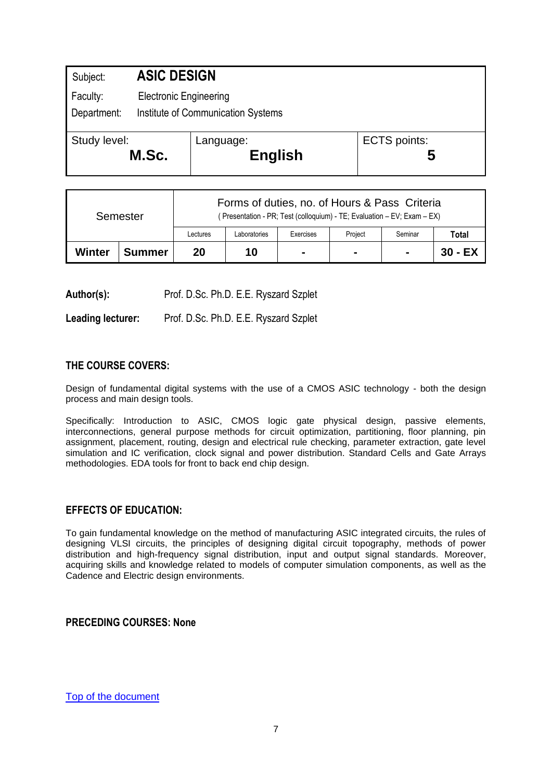<span id="page-7-0"></span>

| Subject:                | <b>ASIC DESIGN</b> |                                                                     |                     |  |  |  |  |
|-------------------------|--------------------|---------------------------------------------------------------------|---------------------|--|--|--|--|
| Faculty:<br>Department: |                    | <b>Electronic Engineering</b><br>Institute of Communication Systems |                     |  |  |  |  |
| Study level:            | M.Sc.              | Language:<br><b>English</b>                                         | <b>ECTS</b> points: |  |  |  |  |

| Semester |               | Forms of duties, no. of Hours & Pass Criteria<br>(Presentation - PR; Test (colloquium) - TE; Evaluation - EV; Exam - EX) |              |                |         |                |           |  |
|----------|---------------|--------------------------------------------------------------------------------------------------------------------------|--------------|----------------|---------|----------------|-----------|--|
|          |               | Lectures                                                                                                                 | Laboratories | Exercises      | Project | Seminar        | Total     |  |
| Winter   | <b>Summer</b> | 20                                                                                                                       | 10           | $\blacksquare$ |         | $\blacksquare$ | $30 - EX$ |  |

Author(s): Prof. D.Sc. Ph.D. E.E. Ryszard Szplet

**Leading lecturer:** Prof. D.Sc. Ph.D. E.E. Ryszard Szplet

#### **THE COURSE COVERS:**

Design of fundamental digital systems with the use of a CMOS ASIC technology - both the design process and main design tools.

Specifically: Introduction to ASIC, CMOS logic gate physical design, passive elements, interconnections, general purpose methods for circuit optimization, partitioning, floor planning, pin assignment, placement, routing, design and electrical rule checking, parameter extraction, gate level simulation and IC verification, clock signal and power distribution. Standard Cells and Gate Arrays methodologies. EDA tools for front to back end chip design.

#### **EFFECTS OF EDUCATION:**

To gain fundamental knowledge on the method of manufacturing ASIC integrated circuits, the rules of designing VLSI circuits, the principles of designing digital circuit topography, methods of power distribution and high-frequency signal distribution, input and output signal standards. Moreover, acquiring skills and knowledge related to models of computer simulation components, as well as the Cadence and Electric design environments.

#### **PRECEDING COURSES: None**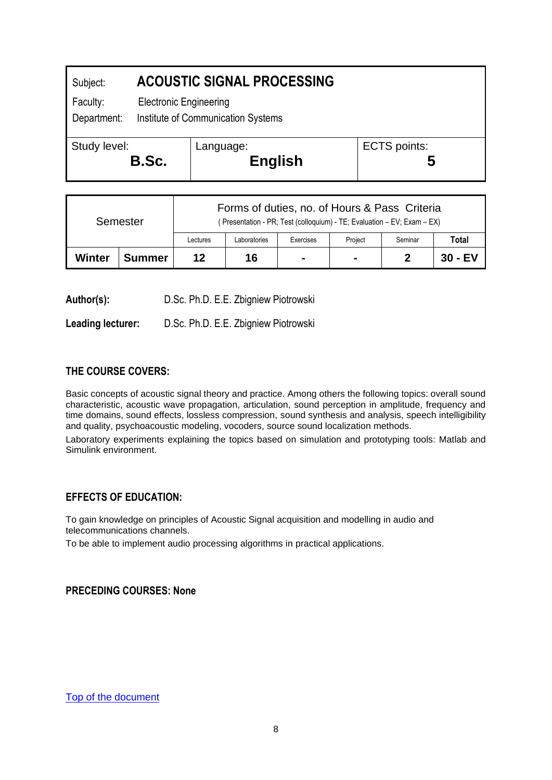<span id="page-8-0"></span>

| Subject:     |                                    | <b>ACOUSTIC SIGNAL PROCESSING</b> |                     |  |  |  |  |
|--------------|------------------------------------|-----------------------------------|---------------------|--|--|--|--|
| Faculty:     | <b>Electronic Engineering</b>      |                                   |                     |  |  |  |  |
| Department:  | Institute of Communication Systems |                                   |                     |  |  |  |  |
| Study level: | B.Sc.                              | Language:<br><b>English</b>       | <b>ECTS</b> points: |  |  |  |  |

| Semester |               | Forms of duties, no. of Hours & Pass Criteria<br>(Presentation - PR; Test (colloquium) - TE; Evaluation - EV; Exam - EX) |              |                |                |         |           |  |
|----------|---------------|--------------------------------------------------------------------------------------------------------------------------|--------------|----------------|----------------|---------|-----------|--|
|          |               | Lectures                                                                                                                 | Laboratories | Exercises      | Project        | Seminar | Total     |  |
| Winter   | <b>Summer</b> | 12                                                                                                                       | 16           | $\blacksquare$ | $\blacksquare$ |         | $30 - EV$ |  |

**Author(s):** D.Sc. Ph.D. E.E. Zbigniew Piotrowski

**Leading lecturer:** D.Sc. Ph.D. E.E. Zbigniew Piotrowski

## **THE COURSE COVERS:**

Basic concepts of acoustic signal theory and practice. Among others the following topics: overall sound characteristic, acoustic wave propagation, articulation, sound perception in amplitude, frequency and time domains, sound effects, lossless compression, sound synthesis and analysis, speech intelligibility and quality, psychoacoustic modeling, vocoders, source sound localization methods.

Laboratory experiments explaining the topics based on simulation and prototyping tools: Matlab and Simulink environment.

#### **EFFECTS OF EDUCATION:**

To gain knowledge on principles of Acoustic Signal acquisition and modelling in audio and telecommunications channels.

To be able to implement audio processing algorithms in practical applications.

#### **PRECEDING COURSES: None**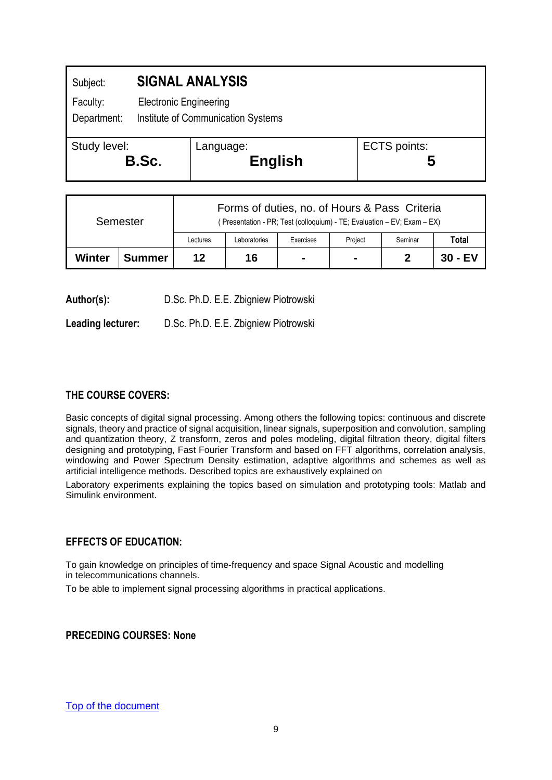<span id="page-9-0"></span>

| Subject:                |                               | <b>SIGNAL ANALYSIS</b>             |                          |
|-------------------------|-------------------------------|------------------------------------|--------------------------|
| Faculty:<br>Department: | <b>Electronic Engineering</b> | Institute of Communication Systems |                          |
| Study level:<br>B.Sc.   |                               | Language:<br><b>English</b>        | <b>ECTS</b> points:<br>ე |

| Semester |               | Forms of duties, no. of Hours & Pass Criteria<br>(Presentation - PR; Test (colloquium) - TE; Evaluation - EV; Exam - EX) |              |                |         |         |           |  |
|----------|---------------|--------------------------------------------------------------------------------------------------------------------------|--------------|----------------|---------|---------|-----------|--|
|          |               | Lectures                                                                                                                 | Laboratories | Exercises      | Project | Seminar | Total     |  |
| Winter   | <b>Summer</b> | 12                                                                                                                       | 16           | $\blacksquare$ | $\,$    |         | $30 - EV$ |  |

**Author(s):** D.Sc. Ph.D. E.E. Zbigniew Piotrowski

**Leading lecturer:** D.Sc. Ph.D. E.E. Zbigniew Piotrowski

## **THE COURSE COVERS:**

Basic concepts of digital signal processing. Among others the following topics: continuous and discrete signals, theory and practice of signal acquisition, linear signals, superposition and convolution, sampling and quantization theory, Z transform, zeros and poles modeling, digital filtration theory, digital filters designing and prototyping, Fast Fourier Transform and based on FFT algorithms, correlation analysis, windowing and Power Spectrum Density estimation, adaptive algorithms and schemes as well as artificial intelligence methods. Described topics are exhaustively explained on

Laboratory experiments explaining the topics based on simulation and prototyping tools: Matlab and Simulink environment.

## **EFFECTS OF EDUCATION:**

To gain knowledge on principles of time-frequency and space Signal Acoustic and modelling in telecommunications channels.

To be able to implement signal processing algorithms in practical applications.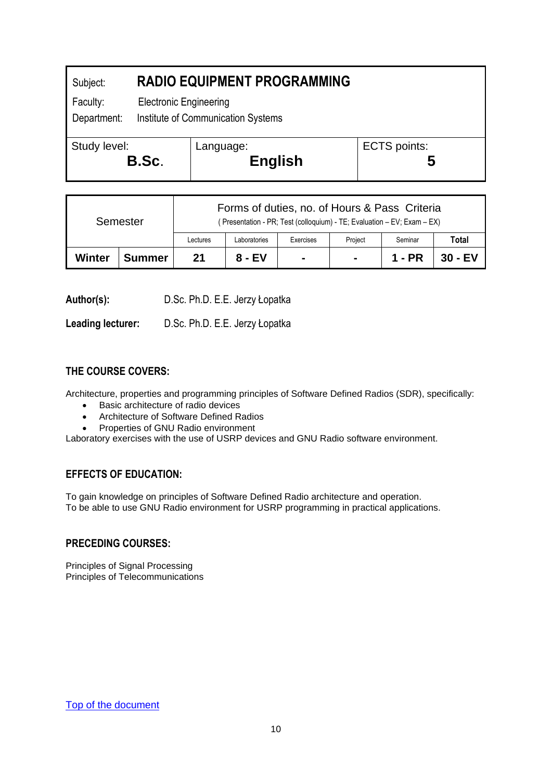<span id="page-10-0"></span>

| Subject:                |  | <b>RADIO EQUIPMENT PROGRAMMING</b>                                  |                          |  |  |  |  |  |
|-------------------------|--|---------------------------------------------------------------------|--------------------------|--|--|--|--|--|
| Faculty:<br>Department: |  | <b>Electronic Engineering</b><br>Institute of Communication Systems |                          |  |  |  |  |  |
| Study level:<br>B.Sc.   |  | Language:<br><b>English</b>                                         | <b>ECTS</b> points:<br>5 |  |  |  |  |  |

| Semester |               | Forms of duties, no. of Hours & Pass Criteria<br>(Presentation - PR; Test (colloquium) - TE; Evaluation - EV; Exam - EX) |              |                |                |         |         |  |
|----------|---------------|--------------------------------------------------------------------------------------------------------------------------|--------------|----------------|----------------|---------|---------|--|
|          |               | Lectures                                                                                                                 | Laboratories | Exercises      | Project        | Seminar | Total   |  |
| Winter   | <b>Summer</b> | 21                                                                                                                       | 8 - EV       | $\blacksquare$ | $\blacksquare$ | 1 - PR  | 30 - EV |  |

**Author(s):** D.Sc. Ph.D. E.E. Jerzy Łopatka

**Leading lecturer:** D.Sc. Ph.D. E.E. Jerzy Łopatka

## **THE COURSE COVERS:**

Architecture, properties and programming principles of Software Defined Radios (SDR), specifically:

- Basic architecture of radio devices
- Architecture of Software Defined Radios
- Properties of GNU Radio environment

Laboratory exercises with the use of USRP devices and GNU Radio software environment.

## **EFFECTS OF EDUCATION:**

To gain knowledge on principles of Software Defined Radio architecture and operation. To be able to use GNU Radio environment for USRP programming in practical applications.

## **PRECEDING COURSES:**

Principles of Signal Processing Principles of Telecommunications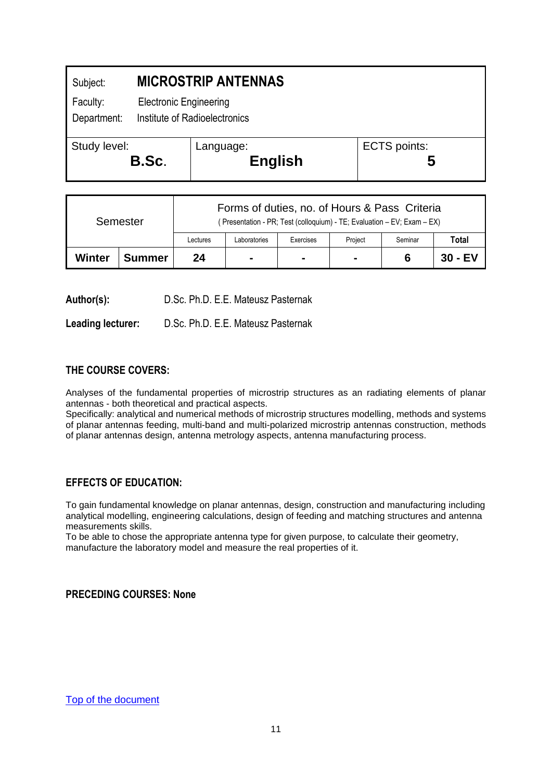<span id="page-11-0"></span>

| Subject:                |       | <b>MICROSTRIP ANTENNAS</b>                                     |                          |  |  |  |
|-------------------------|-------|----------------------------------------------------------------|--------------------------|--|--|--|
| Faculty:<br>Department: |       | <b>Electronic Engineering</b><br>Institute of Radioelectronics |                          |  |  |  |
| Study level:            | B.Sc. | Language:<br><b>English</b>                                    | <b>ECTS</b> points:<br>C |  |  |  |

| Semester |               | Forms of duties, no. of Hours & Pass Criteria<br>(Presentation - PR; Test (colloquium) - TE; Evaluation - EV; Exam - EX) |                |                |                |         |         |  |
|----------|---------------|--------------------------------------------------------------------------------------------------------------------------|----------------|----------------|----------------|---------|---------|--|
|          |               | Lectures                                                                                                                 | Laboratories   | Exercises      | Project        | Seminar | Total   |  |
| Winter   | <b>Summer</b> | 24                                                                                                                       | $\blacksquare$ | $\blacksquare$ | $\blacksquare$ |         | 30 - EV |  |

**Author(s):** D.Sc. Ph.D. E.E. Mateusz Pasternak

**Leading lecturer:** D.Sc. Ph.D. E.E. Mateusz Pasternak

## **THE COURSE COVERS:**

Analyses of the fundamental properties of microstrip structures as an radiating elements of planar antennas - both theoretical and practical aspects.

Specifically: analytical and numerical methods of microstrip structures modelling, methods and systems of planar antennas feeding, multi-band and multi-polarized microstrip antennas construction, methods of planar antennas design, antenna metrology aspects, antenna manufacturing process.

## **EFFECTS OF EDUCATION:**

To gain fundamental knowledge on planar antennas, design, construction and manufacturing including analytical modelling, engineering calculations, design of feeding and matching structures and antenna measurements skills.

To be able to chose the appropriate antenna type for given purpose, to calculate their geometry, manufacture the laboratory model and measure the real properties of it.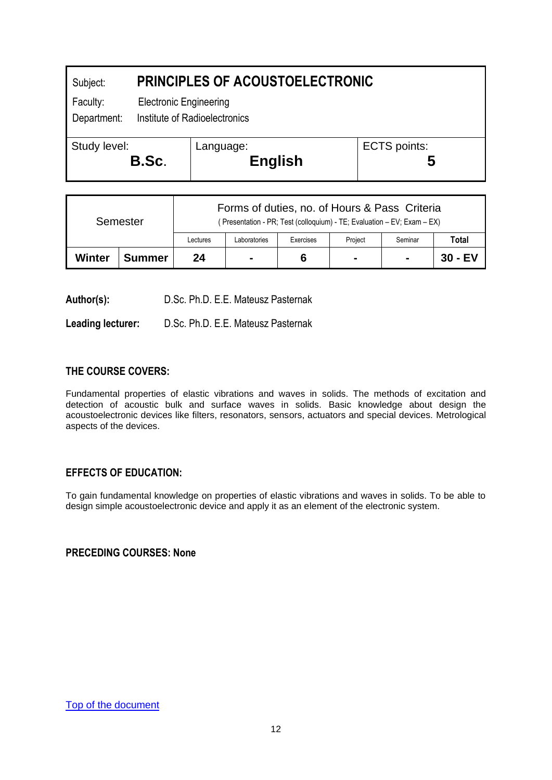<span id="page-12-0"></span>

| Subject:     |                               | <b>PRINCIPLES OF ACOUSTOELECTRONIC</b> |              |  |  |  |  |  |
|--------------|-------------------------------|----------------------------------------|--------------|--|--|--|--|--|
| Faculty:     |                               | <b>Electronic Engineering</b>          |              |  |  |  |  |  |
| Department:  | Institute of Radioelectronics |                                        |              |  |  |  |  |  |
| Study level: | B.Sc.                         | Language:<br><b>English</b>            | ECTS points: |  |  |  |  |  |

| Semester |               | Forms of duties, no. of Hours & Pass Criteria<br>(Presentation - PR; Test (colloquium) - TE; Evaluation - EV; Exam - EX) |                |           |                |                |         |  |
|----------|---------------|--------------------------------------------------------------------------------------------------------------------------|----------------|-----------|----------------|----------------|---------|--|
|          |               | Lectures                                                                                                                 | Laboratories   | Exercises | Project        | Seminar        | Total   |  |
| Winter   | <b>Summer</b> | 24                                                                                                                       | $\blacksquare$ | 6         | $\blacksquare$ | $\blacksquare$ | 30 - EV |  |

**Author(s):** D.Sc. Ph.D. E.E. Mateusz Pasternak

**Leading lecturer:** D.Sc. Ph.D. E.E. Mateusz Pasternak

## **THE COURSE COVERS:**

Fundamental properties of elastic vibrations and waves in solids. The methods of excitation and detection of acoustic bulk and surface waves in solids. Basic knowledge about design the acoustoelectronic devices like filters, resonators, sensors, actuators and special devices. Metrological aspects of the devices.

## **EFFECTS OF EDUCATION:**

To gain fundamental knowledge on properties of elastic vibrations and waves in solids. To be able to design simple acoustoelectronic device and apply it as an element of the electronic system.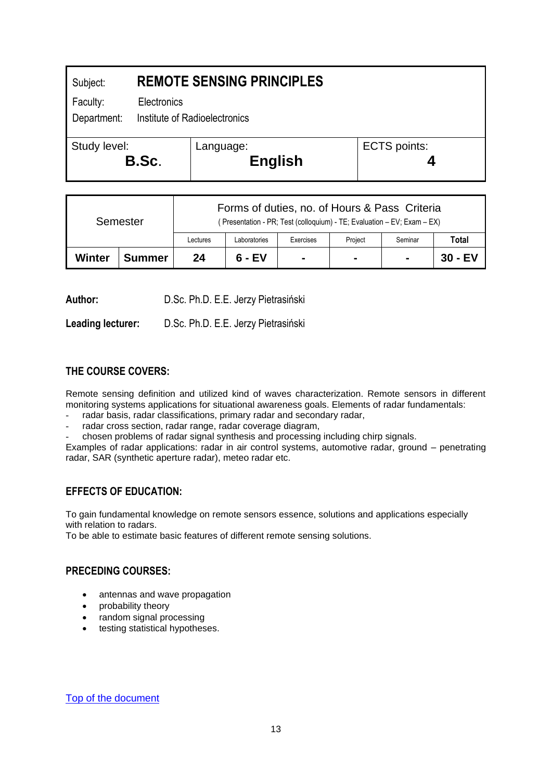<span id="page-13-0"></span>

| Subject:              | <b>REMOTE SENSING PRINCIPLES</b> |                             |                     |  |  |
|-----------------------|----------------------------------|-----------------------------|---------------------|--|--|
| Faculty:              | Electronics                      |                             |                     |  |  |
| Department:           | Institute of Radioelectronics    |                             |                     |  |  |
| Study level:<br>B.Sc. |                                  | Language:<br><b>English</b> | <b>ECTS points:</b> |  |  |
|                       |                                  |                             |                     |  |  |

| Semester |               | Forms of duties, no. of Hours & Pass Criteria<br>(Presentation - PR; Test (colloquium) - TE; Evaluation - EV; Exam - EX) |              |                |                |                |         |
|----------|---------------|--------------------------------------------------------------------------------------------------------------------------|--------------|----------------|----------------|----------------|---------|
|          |               | Lectures                                                                                                                 | Laboratories | Exercises      | Project        | Seminar        | Total   |
| Winter   | <b>Summer</b> | 24                                                                                                                       | $6 - EV$     | $\blacksquare$ | $\blacksquare$ | $\blacksquare$ | 30 - EV |

**Author:** D.Sc. Ph.D. E.E. Jerzy Pietrasiński

**Leading lecturer:** D.Sc. Ph.D. E.E. Jerzy Pietrasiński

## **THE COURSE COVERS:**

Remote sensing definition and utilized kind of waves characterization. Remote sensors in different monitoring systems applications for situational awareness goals. Elements of radar fundamentals:

- radar basis, radar classifications, primary radar and secondary radar,
- radar cross section, radar range, radar coverage diagram,
- chosen problems of radar signal synthesis and processing including chirp signals.

Examples of radar applications: radar in air control systems, automotive radar, ground – penetrating radar, SAR (synthetic aperture radar), meteo radar etc.

#### **EFFECTS OF EDUCATION:**

To gain fundamental knowledge on remote sensors essence, solutions and applications especially with relation to radars.

To be able to estimate basic features of different remote sensing solutions.

#### **PRECEDING COURSES:**

- antennas and wave propagation
- probability theory
- random signal processing
- testing statistical hypotheses.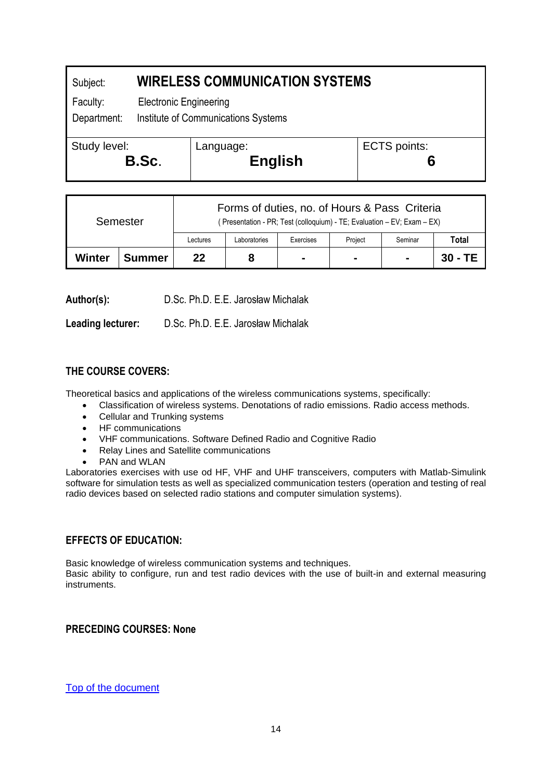## <span id="page-14-0"></span>Subject: **WIRELESS COMMUNICATION SYSTEMS** Faculty: Electronic Engineering Department: Institute of Communications Systems Study level: **B.Sc**. Language: **English** ECTS points: **6**

| Semester |               | Forms of duties, no. of Hours & Pass Criteria<br>(Presentation - PR; Test (colloquium) - TE; Evaluation - EV; Exam - EX) |              |                |         |         |           |
|----------|---------------|--------------------------------------------------------------------------------------------------------------------------|--------------|----------------|---------|---------|-----------|
|          |               | Lectures                                                                                                                 | Laboratories | Exercises      | Project | Seminar | Total     |
| Winter   | <b>Summer</b> | 22                                                                                                                       |              | $\blacksquare$ |         | н.      | $30 - TE$ |

**Author(s):** D.Sc. Ph.D. E.E. Jarosław Michalak

**Leading lecturer:** D.Sc. Ph.D. E.E. Jarosław Michalak

## **THE COURSE COVERS:**

Theoretical basics and applications of the wireless communications systems, specifically:

- Classification of wireless systems. Denotations of radio emissions. Radio access methods.
- Cellular and Trunking systems
- HF communications
- VHF communications. Software Defined Radio and Cognitive Radio
- Relay Lines and Satellite communications
- PAN and WLAN

Laboratories exercises with use od HF, VHF and UHF transceivers, computers with Matlab-Simulink software for simulation tests as well as specialized communication testers (operation and testing of real radio devices based on selected radio stations and computer simulation systems).

#### **EFFECTS OF EDUCATION:**

Basic knowledge of wireless communication systems and techniques. Basic ability to configure, run and test radio devices with the use of built-in and external measuring instruments.

## **PRECEDING COURSES: None**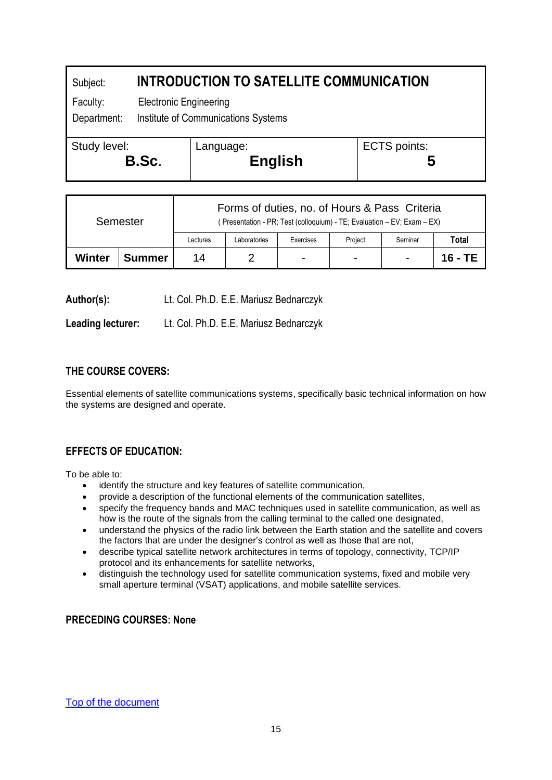# <span id="page-15-0"></span>Subject: **INTRODUCTION TO SATELLITE COMMUNICATION**

Faculty: Electronic Engineering

Department: Institute of Communications Systems

| Study level: | Language:      | ECTS points: |
|--------------|----------------|--------------|
| B.Sc.        | <b>English</b> |              |

| Semester |               | Forms of duties, no. of Hours & Pass Criteria<br>(Presentation - PR; Test (colloquium) - TE; Evaluation - EV; Exam - EX) |              |                |         |         |         |
|----------|---------------|--------------------------------------------------------------------------------------------------------------------------|--------------|----------------|---------|---------|---------|
|          |               | Lectures                                                                                                                 | Laboratories | Exercises      | Project | Seminar | Total   |
| Winter   | <b>Summer</b> | 14                                                                                                                       |              | $\blacksquare$ | -       |         | 16 - TE |

**Author(s):** Lt. Col. Ph.D. E.E. Mariusz Bednarczyk

**Leading lecturer:** Lt. Col. Ph.D. E.E. Mariusz Bednarczyk

# **THE COURSE COVERS:**

Essential elements of satellite communications systems, specifically basic technical information on how the systems are designed and operate.

## **EFFECTS OF EDUCATION:**

To be able to:

- identify the structure and key features of satellite communication,
- provide a description of the functional elements of the communication satellites,
- specify the frequency bands and MAC techniques used in satellite communication, as well as how is the route of the signals from the calling terminal to the called one designated,
- understand the physics of the radio link between the Earth station and the satellite and covers the factors that are under the designer's control as well as those that are not,
- describe typical satellite network architectures in terms of topology, connectivity, TCP/IP protocol and its enhancements for satellite networks,
- distinguish the technology used for satellite communication systems, fixed and mobile very small aperture terminal (VSAT) applications, and mobile satellite services.

#### **PRECEDING COURSES: None**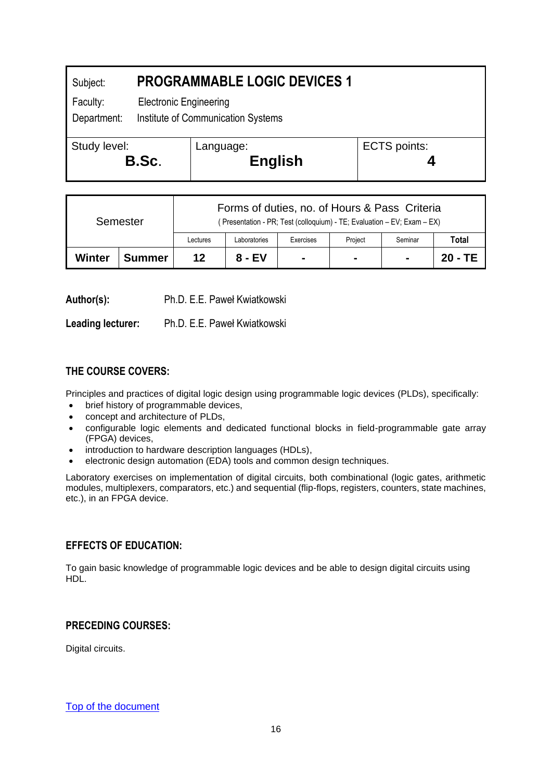# <span id="page-16-0"></span>Subject: **PROGRAMMABLE LOGIC DEVICES 1** Faculty: Electronic Engineering Department: Institute of Communication Systems Study level: **B.Sc**. Language: **English** ECTS points: **4**

| Semester |               | Forms of duties, no. of Hours & Pass Criteria<br>(Presentation - PR; Test (colloquium) - TE; Evaluation - EV; Exam - EX) |              |                |                |                |         |
|----------|---------------|--------------------------------------------------------------------------------------------------------------------------|--------------|----------------|----------------|----------------|---------|
|          |               | Lectures                                                                                                                 | Laboratories | Exercises      | Project        | Seminar        | Total   |
| Winter   | <b>Summer</b> | 12                                                                                                                       | 8 - EV       | $\blacksquare$ | $\blacksquare$ | $\blacksquare$ | 20 - TE |

**Author(s):** Ph.D. E.E. Paweł Kwiatkowski

**Leading lecturer:** Ph.D. E.E. Paweł Kwiatkowski

# **THE COURSE COVERS:**

Principles and practices of digital logic design using programmable logic devices (PLDs), specifically:

- brief history of programmable devices,
- concept and architecture of PLDs,
- configurable logic elements and dedicated functional blocks in field-programmable gate array (FPGA) devices,
- introduction to hardware description languages (HDLs),
- electronic design automation (EDA) tools and common design techniques.

Laboratory exercises on implementation of digital circuits, both combinational (logic gates, arithmetic modules, multiplexers, comparators, etc.) and sequential (flip-flops, registers, counters, state machines, etc.), in an FPGA device.

## **EFFECTS OF EDUCATION:**

To gain basic knowledge of programmable logic devices and be able to design digital circuits using HDL.

## **PRECEDING COURSES:**

Digital circuits.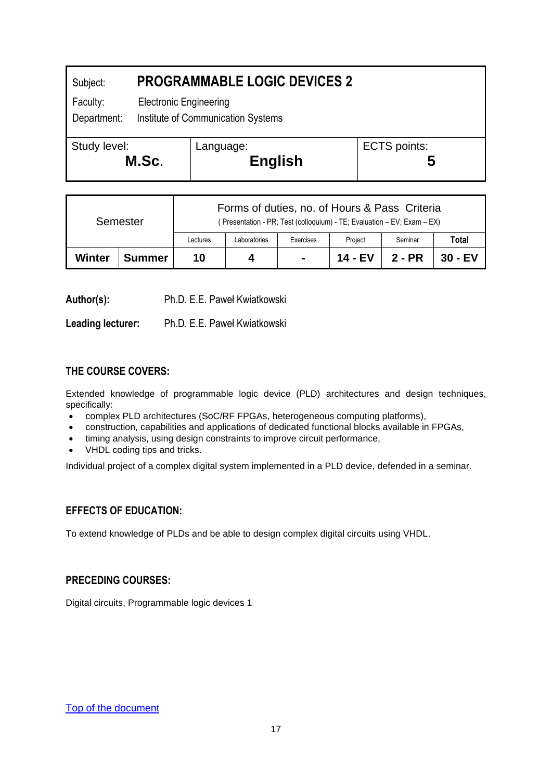<span id="page-17-0"></span>

| Subject:                | <b>PROGRAMMABLE LOGIC DEVICES 2</b>                                 |                             |                     |  |  |
|-------------------------|---------------------------------------------------------------------|-----------------------------|---------------------|--|--|
| Faculty:<br>Department: | <b>Electronic Engineering</b><br>Institute of Communication Systems |                             |                     |  |  |
| Study level:<br>M.Sc.   |                                                                     | Language:<br><b>English</b> | <b>ECTS</b> points: |  |  |

| Semester |               | Forms of duties, no. of Hours & Pass Criteria<br>(Presentation - PR; Test (colloquium) - TE; Evaluation - EV; Exam - EX) |              |                |         |          |         |
|----------|---------------|--------------------------------------------------------------------------------------------------------------------------|--------------|----------------|---------|----------|---------|
|          |               | Lectures                                                                                                                 | Laboratories | Exercises      | Project | Seminar  | Total   |
| Winter   | <b>Summer</b> | 10                                                                                                                       |              | $\blacksquare$ | 14 - EV | $2 - PR$ | 30 - EV |

**Author(s):** Ph.D. E.E. Paweł Kwiatkowski

**Leading lecturer:** Ph.D. E.E. Paweł Kwiatkowski

## **THE COURSE COVERS:**

Extended knowledge of programmable logic device (PLD) architectures and design techniques, specifically:

- complex PLD architectures (SoC/RF FPGAs, heterogeneous computing platforms),
- construction, capabilities and applications of dedicated functional blocks available in FPGAs,
- timing analysis, using design constraints to improve circuit performance,
- VHDL coding tips and tricks.

Individual project of a complex digital system implemented in a PLD device, defended in a seminar.

## **EFFECTS OF EDUCATION:**

To extend knowledge of PLDs and be able to design complex digital circuits using VHDL.

#### **PRECEDING COURSES:**

Digital circuits, Programmable logic devices 1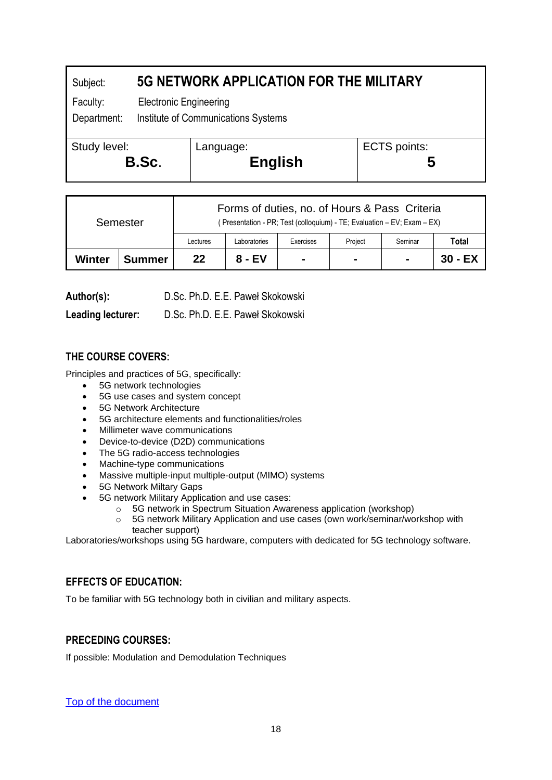# <span id="page-18-0"></span>Subject: **5G NETWORK APPLICATION FOR THE MILITARY**

Faculty: Electronic Engineering

Department: Institute of Communications Systems

| Study level: | Language:      | ECTS points: |
|--------------|----------------|--------------|
| B.Sc.        | <b>English</b> |              |

| Semester |               | Forms of duties, no. of Hours & Pass Criteria<br>(Presentation - PR; Test (colloquium) - TE; Evaluation – EV; Exam – EX) |              |                |                |                |         |
|----------|---------------|--------------------------------------------------------------------------------------------------------------------------|--------------|----------------|----------------|----------------|---------|
|          |               | Lectures                                                                                                                 | Laboratories | Exercises      | Project        | Seminar        | Total   |
| Winter   | <b>Summer</b> | 22                                                                                                                       | $8 - EV$     | $\blacksquare$ | $\blacksquare$ | $\blacksquare$ | 30 - EX |

**Leading lecturer:** D.Sc. Ph.D. E.E. Paweł Skokowski

# **THE COURSE COVERS:**

Principles and practices of 5G, specifically:

- 5G network technologies
- 5G use cases and system concept
- 5G Network Architecture
- 5G architecture elements and functionalities/roles
- Millimeter wave communications
- Device-to-device (D2D) communications
- The 5G radio-access technologies
- Machine-type communications
- Massive multiple-input multiple-output (MIMO) systems
- 5G Network Miltary Gaps
- 5G network Military Application and use cases:
	- o 5G network in Spectrum Situation Awareness application (workshop)
	- o 5G network Military Application and use cases (own work/seminar/workshop with teacher support)

Laboratories/workshops using 5G hardware, computers with dedicated for 5G technology software.

# **EFFECTS OF EDUCATION:**

To be familiar with 5G technology both in civilian and military aspects.

# **PRECEDING COURSES:**

If possible: Modulation and Demodulation Techniques